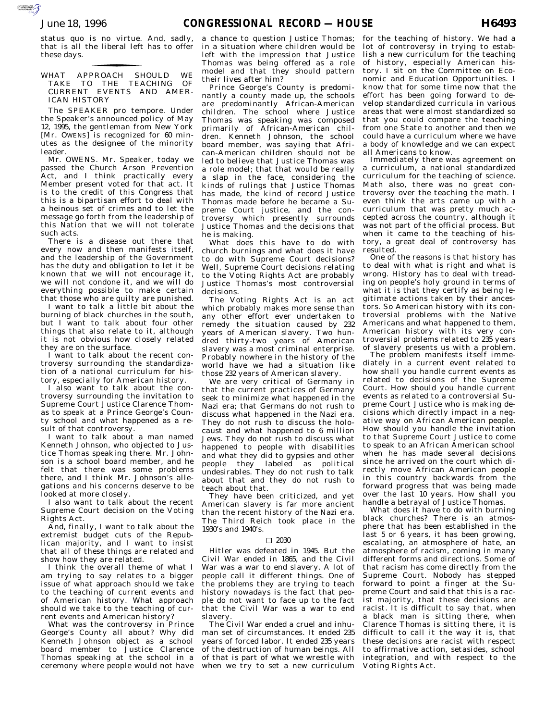status quo is no virtue. And, sadly, that is all the liberal left has to offer these days. for the control of the control of

WHAT APPROACH SHOULD WE TAKE TO THE TEACHING OF CURRENT EVENTS AND AMER-ICAN HISTORY

The SPEAKER pro tempore. Under the Speaker's announced policy of May 12, 1995, the gentleman from New York [Mr. OWENS] is recognized for 60 minutes as the designee of the minority leader.

Mr. OWENS. Mr. Speaker, today we passed the Church Arson Prevention Act, and I think practically every Member present voted for that act. It is to the credit of this Congress that this is a bipartisan effort to deal with a heinous set of crimes and to let the message go forth from the leadership of this Nation that we will not tolerate such acts.

There is a disease out there that every now and then manifests itself, and the leadership of the Government has the duty and obligation to let it be known that we will not encourage it, we will not condone it, and we will do everything possible to make certain that those who are guilty are punished.

I want to talk a little bit about the burning of black churches in the south, but I want to talk about four other things that also relate to it, although it is not obvious how closely related they are on the surface.

I want to talk about the recent controversy surrounding the standardization of a national curriculum for history, especially for American history.

I also want to talk about the controversy surrounding the invitation to Supreme Court Justice Clarence Thomas to speak at a Prince George's County school and what happened as a result of that controversy.

I want to talk about a man named Kenneth Johnson, who objected to Justice Thomas speaking there. Mr. Johnson is a school board member, and he felt that there was some problems there, and I think Mr. Johnson's allegations and his concerns deserve to be looked at more closely.

I also want to talk about the recent Supreme Court decision on the Voting Rights Act.

And, finally, I want to talk about the extremist budget cuts of the Republican majority, and I want to insist that all of these things are related and show how they are related.

I think the overall theme of what I am trying to say relates to a bigger issue of what approach should we take to the teaching of current events and of American history. What approach should we take to the teaching of current events and American history?

What was the controversy in Prince George's County all about? Why did Kenneth Johnson object as a school board member to Justice Clarence Thomas speaking at the school in a ceremony where people would not have

a chance to question Justice Thomas; in a situation where children would be left with the impression that Justice Thomas was being offered as a role model and that they should pattern their lives after him?

Prince George's County is predominantly a county made up, the schools are predominantly African-American children. The school where Justice Thomas was speaking was composed primarily of African-American children. Kenneth Johnson, the school board member, was saying that African-American children should not be led to believe that Justice Thomas was a role model; that that would be really a slap in the face, considering the kinds of rulings that Justice Thomas has made, the kind of record Justice Thomas made before he became a Supreme Court justice, and the controversy which presently surrounds Justice Thomas and the decisions that he is making.

What does this have to do with church burnings and what does it have to do with Supreme Court decisions? Well, Supreme Court decisions relating to the Voting Rights Act are probably Justice Thomas's most controversial decisions.

The Voting Rights Act is an act which probably makes more sense than any other effort ever undertaken to remedy the situation caused by 232 years of American slavery. Two hundred thirty-two years of American slavery was a most criminal enterprise. Probably nowhere in the history of the world have we had a situation like those 232 years of American slavery.

We are very critical of Germany in that the current practices of Germany seek to minimize what happened in the Nazi era; that Germans do not rush to discuss what happened in the Nazi era. They do not rush to discuss the holocaust and what happened to 6 million Jews. They do not rush to discuss what happened to people with disabilities and what they did to gypsies and other people they labeled as political undesirables. They do not rush to talk about that and they do not rush to teach about that.

They have been criticized, and yet American slavery is far more ancient than the recent history of the Nazi era. The Third Reich took place in the 1930's and 1940's.

### $\square$  2030

Hitler was defeated in 1945. But the Civil War ended in 1865, and the Civil War was a war to end slavery. A lot of people call it different things. One of the problems they are trying to teach history nowadays is the fact that people do not want to face up to the fact that the Civil War was a war to end slavery.

The Civil War ended a cruel and inhuman set of circumstances. It ended 235 years of forced labor. It ended 235 years of the destruction of human beings. All of that is part of what we wrestle with when we try to set a new curriculum

for the teaching of history. We had a lot of controversy in trying to establish a new curriculum for the teaching of history, especially American history. I sit on the Committee on Economic and Education Opportunities. I know that for some time now that the effort has been going forward to develop standardized curricula in various areas that were almost standardized so that you could compare the teaching from one State to another and then we could have a curriculum where we have a body of knowledge and we can expect all Americans to know.

Immediately there was agreement on a curriculum, a national standardized curriculum for the teaching of science. Math also, there was no great controversy over the teaching the math. I even think the arts came up with a curriculum that was pretty much accepted across the country, although it was not part of the official process. But when it came to the teaching of history, a great deal of controversy has resulted.

One of the reasons is that history has to deal with what is right and what is wrong. History has to deal with treading on people's holy ground in terms of what it is that they certify as being legitimate actions taken by their ancestors. So American history with its controversial problems with the Native Americans and what happened to them, American history with its very controversial problems related to 235 years of slavery presents us with a problem.

The problem manifests itself immediately in a current event related to how shall you handle current events as related to decisions of the Supreme Court. How should you handle current events as related to a controversial Supreme Court Justice who is making decisions which directly impact in a negative way on African American people. How should you handle the invitation to that Supreme Court Justice to come to speak to an African American school when he has made several decisions since he arrived on the court which directly move African American people in this country backwards from the forward progress that was being made over the last 10 years. How shall you handle a betrayal of Justice Thomas.

What does it have to do with burning black churches? There is an atmosphere that has been established in the last 5 or 6 years, it has been growing, escalating, an atmosphere of hate, an atmosphere of racism, coming in many different forms and directions. Some of that racism has come directly from the Supreme Court. Nobody has stepped forward to point a finger at the Supreme Court and said that this is a racist majority, that these decisions are racist. It is difficult to say that, when a black man is sitting there, when Clarence Thomas is sitting there, it is difficult to call it the way it is, that these decisions are racist with respect to affirmative action, setasides, school integration, and with respect to the Voting Rights Act.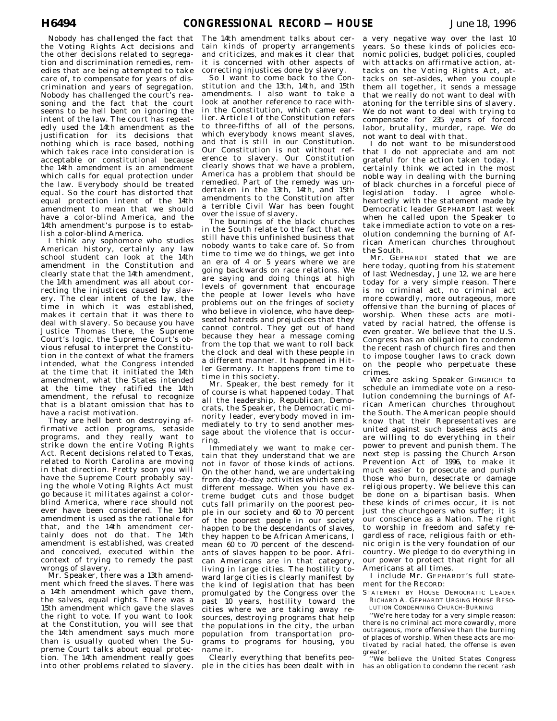Nobody has challenged the fact that the Voting Rights Act decisions and the other decisions related to segregation and discrimination remedies, remedies that are being attempted to take care of, to compensate for years of discrimination and years of segregation. Nobody has challenged the court's reasoning and the fact that the court seems to be hell bent on ignoring the intent of the law. The court has repeatedly used the 14th amendment as the justification for its decisions that nothing which is race based, nothing which takes race into consideration is acceptable or constitutional because the 14th amendment is an amendment which calls for equal protection under the law. Everybody should be treated equal. So the court has distorted that equal protection intent of the 14th amendment to mean that we should have a color-blind America, and the 14th amendment's purpose is to establish a color-blind America.

I think any sophomore who studies American history, certainly any law school student can look at the 14th amendment in the Constitution and clearly state that the 14th amendment, the 14th amendment was all about correcting the injustices caused by slavery. The clear intent of the law, the time in which it was established, makes it certain that it was there to deal with slavery. So because you have Justice Thomas there, the Supreme Court's logic, the Supreme Court's obvious refusal to interpret the Constitution in the context of what the framers intended, what the Congress intended at the time that it initiated the 14th amendment, what the States intended at the time they ratified the 14th amendment, the refusal to recognize that is a blatant omission that has to have a racist motivation.

They are hell bent on destroying affirmative action programs, setaside programs, and they really want to strike down the entire Voting Rights Act. Recent decisions related to Texas, related to North Carolina are moving in that direction. Pretty soon you will have the Supreme Court probably saying the whole Voting Rights Act must go because it militates against a colorblind America, where race should not ever have been considered. The 14th amendment is used as the rationale for that, and the 14th amendment certainly does not do that. The 14th amendment is established, was created and conceived, executed within the context of trying to remedy the past wrongs of slavery.

Mr. Speaker, there was a 13th amendment which freed the slaves. There was a 14th amendment which gave them, the salves, equal rights. There was a 15th amendment which gave the slaves the right to vote. If you want to look at the Constitution, you will see that the 14th amendment says much more than is usually quoted when the Supreme Court talks about equal protection. The 14th amendment really goes into other problems related to slavery.

The 14th amendment talks about certain kinds of property arrangements and criticizes, and makes it clear that it is concerned with other aspects of correcting injustices done by slavery.

So I want to come back to the Constitution and the 13th, 14th, and 15th amendments. I also want to take a look at another reference to race within the Constitution, which came earlier. Article I of the Constitution refers to three-fifths of all of the persons, which everybody knows meant slaves, and that is still in our Constitution. Our Constitution is not without reference to slavery. Our Constitution clearly shows that we have a problem, America has a problem that should be remedied. Part of the remedy was undertaken in the 13th, 14th, and 15th amendments to the Constitution after a terrible Civil War has been fought over the issue of slavery.

The burnings of the black churches in the South relate to the fact that we still have this unfinished business that nobody wants to take care of. So from time to time we do things, we get into an era of 4 or 5 years where we are going backwards on race relations. We are saying and doing things at high levels of government that encourage the people at lower levels who have problems out on the fringes of society who believe in violence, who have deepseated hatreds and prejudices that they cannot control. They get out of hand because they hear a message coming from the top that we want to roll back the clock and deal with these people in a different manner. It happened in Hitler Germany. It happens from time to time in this society.

Mr. Speaker, the best remedy for it of course is what happened today. That all the leadership, Republican, Democrats, the Speaker, the Democratic minority leader, everybody moved in immediately to try to send another message about the violence that is occurring.

Immediately we want to make certain that they understand that we are not in favor of those kinds of actions. On the other hand, we are undertaking from day-to-day activities which send a different message. When you have extreme budget cuts and those budget cuts fall primarily on the poorest people in our society and 60 to 70 percent of the poorest people in our society happen to be the descendants of slaves, they happen to be African Americans, I mean 60 to 70 percent of the descendants of slaves happen to be poor. African Americans are in that category, living in large cities. The hostility toward large cities is clearly manifest by the kind of legislation that has been promulgated by the Congress over the past 10 years, hostility toward the cities where we are taking away resources, destroying programs that help the populations in the city, the urban population from transportation programs to programs for housing, you name it.

Clearly everything that benefits people in the cities has been dealt with in

a very negative way over the last 10 years. So these kinds of policies economic policies, budget policies, coupled with attacks on affirmative action, attacks on the Voting Rights Act, attacks on set-asides, when you couple them all together, it sends a message that we really do not want to deal with atoning for the terrible sins of slavery. We do not want to deal with trying to compensate for 235 years of forced labor, brutality, murder, rape. We do not want to deal with that.

I do not want to be misunderstood that I do not appreciate and am not grateful for the action taken today. I certainly think we acted in the most noble way in dealing with the burning of black churches in a forceful piece of legislation today. I agree wholeheartedly with the statement made by Democratic leader GEPHARDT last week when he called upon the Speaker to take immediate action to vote on a resolution condemning the burning of African American churches throughout the South.

Mr. GEPHARDT stated that we are here today, quoting from his statement of last Wednesday, June 12, we are here today for a very simple reason. There is no criminal act, no criminal act more cowardly, more outrageous, more offensive than the burning of places of worship. When these acts are motivated by racial hatred, the offense is even greater. We believe that the U.S. Congress has an obligation to condemn the recent rash of church fires and then to impose tougher laws to crack down on the people who perpetuate these crimes.

We are asking Speaker GINGRICH to schedule an immediate vote on a resolution condemning the burnings of African American churches throughout the South. The American people should know that their Representatives are united against such baseless acts and are willing to do everything in their power to prevent and punish them. The next step is passing the Church Arson Prevention Act of 1996, to make it much easier to prosecute and punish those who burn, desecrate or damage religious property. We believe this can be done on a bipartisan basis. When these kinds of crimes occur, it is not just the churchgoers who suffer; it is our conscience as a Nation. The right to worship in freedom and safety regardless of race, religious faith or ethnic origin is the very foundation of our country. We pledge to do everything in our power to protect that right for all Americans at all times.

I include Mr. GEPHARDT's full statement for the RECORD:

STATEMENT BY HOUSE DEMOCRATIC LEADER RICHARD A. GEPHARDT URGING HOUSE RESO-LUTION CONDEMNING CHURCH-BURNING

''We're here today for a very simple reason: there is no criminal act more cowardly, more outrageous, more offensive than the burning of places of worship. When these acts are motivated by racial hated, the offense is even greater.

''We believe the United States Congress has an obligation to condemn the recent rash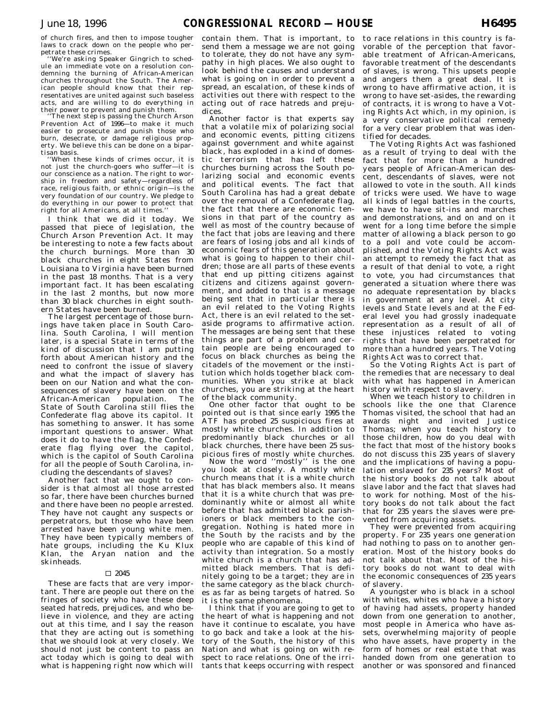of church fires, and then to impose tougher laws to crack down on the people who perpetrate these crimes.

'We're asking Speaker Gingrich to schedule an immediate vote on a resolution condemning the burning of African-American churches throughout the South. The American people should know that their representatives are united against such baseless acts, and are willing to do everything in their power to prevent and punish them.

'The next step is passing the Church Arson Prevention Act of 1996—to make it much easier to prosecute and punish those who burn, desecrate, or damage religious property. We believe this can be done on a bipartisan basis.

''When these kinds of crimes occur, it is not just the church-goers who suffer—it is our conscience as a nation. The right to worship in freedom and safety—regardless of race, religious faith, or ethnic origin—is the very foundation of our country. We pledge to do everything in our power to protect that right for all Americans, at all times.''

I think that we did it today. We passed that piece of legislation, the Church Arson Prevention Act. It may be interesting to note a few facts about the church burnings. More than 30 black churches in eight States from Louisiana to Virginia have been burned in the past 18 months. That is a very important fact. It has been escalating in the last 2 months, but now more than 30 black churches in eight southern States have been burned.

The largest percentage of those burnings have taken place in South Carolina. South Carolina, I will mention later, is a special State in terms of the kind of discussion that I am putting forth about American history and the need to confront the issue of slavery and what the impact of slavery has been on our Nation and what the consequences of slavery have been on the African-American population. The State of South Carolina still flies the Confederate flag above its capitol. It has something to answer. It has some important questions to answer. What does it do to have the flag, the Confederate flag flying over the capitol, which is the capitol of South Carolina for all the people of South Carolina, including the descendants of slaves?

Another fact that we ought to consider is that almost all those arrested so far, there have been churches burned and there have been no people arrested. They have not caught any suspects or perpetrators, but those who have been arrested have been young white men. They have been typically members of hate groups, including the Ku Klux Klan, the Aryan nation and the skinheads.

#### $\Box$  2045

These are facts that are very important. There are people out there on the fringes of society who have these deep seated hatreds, prejudices, and who believe in violence, and they are acting out at this time, and I say the reason that they are acting out is something that we should look at very closely. We should not just be content to pass an act today which is going to deal with what is happening right now which will

contain them. That is important, to send them a message we are not going to tolerate, they do not have any sympathy in high places. We also ought to look behind the causes and understand what is going on in order to prevent a spread, an escalation, of these kinds of activities out there with respect to the acting out of race hatreds and prejudices.

Another factor is that experts say that a volatile mix of polarizing social and economic events, pitting citizens against government and white against black, has exploded in a kind of domestic terrorism that has left these churches burning across the South polarizing social and economic events and political events. The fact that South Carolina has had a great debate over the removal of a Confederate flag, the fact that there are economic tensions in that part of the country as well as most of the country because of the fact that jobs are leaving and there are fears of losing jobs and all kinds of economic fears of this generation about what is going to happen to their children; those are all parts of these events that end up pitting citizens against citizens and citizens against government, and added to that is a message being sent that in particular there is an evil related to the Voting Rights Act, there is an evil related to the setaside programs to affirmative action. The messages are being sent that these things are part of a problem and certain people are being encouraged to focus on black churches as being the citadels of the movement or the institution which holds together black communities. When you strike at black churches, you are striking at the heart of the black community.

One other factor that ought to be pointed out is that since early 1995 the ATF has probed 25 suspicious fires at mostly white churches. In addition to predominantly black churches or all black churches, there have been 25 suspicious fires of mostly white churches.

Now the word ''mostly'' is the one you look at closely. A mostly white church means that it is a white church that has black members also. It means that it is a white church that was predominantly white or almost all white before that has admitted black parishioners or black members to the congregation. Nothing is hated more in the South by the racists and by the people who are capable of this kind of activity than integration. So a mostly white church is a church that has admitted black members. That is definitely going to be a target; they are in the same category as the black churches as far as being targets of hatred. So it is the same phenomena.

I think that if you are going to get to the heart of what is happening and not have it continue to escalate, you have to go back and take a look at the history of the South, the history of this Nation and what is going on with respect to race relations. One of the irritants that keeps occurring with respect

to race relations in this country is favorable of the perception that favorable treatment of African-Americans, favorable treatment of the descendants of slaves, is wrong. This upsets people and angers them a great deal. It is wrong to have affirmative action, it is wrong to have set-asides, the rewarding of contracts, it is wrong to have a Voting Rights Act which, in my opinion, is a very conservative political remedy for a very clear problem that was identified for decades.

The Voting Rights Act was fashioned as a result of trying to deal with the fact that for more than a hundred years people of African-American descent, descendants of slaves, were not allowed to vote in the south. All kinds of tricks were used. We have to wage all kinds of legal battles in the courts, we have to have sit-ins and marches and demonstrations, and on and on it went for a long time before the simple matter of allowing a black person to go to a poll and vote could be accomplished, and the Voting Rights Act was an attempt to remedy the fact that as a result of that denial to vote, a right to vote, you had circumstances that generated a situation where there was no adequate representation by blacks in government at any level. At city levels and State levels and at the Federal level you had grossly inadequate representation as a result of all of these injustices related to voting rights that have been perpetrated for more than a hundred years. The Voting Rights Act was to correct that.

So the Voting Rights Act is part of the remedies that are necessary to deal with what has happened in American history with respect to slavery.

When we teach history to children in schools like the one that Clarence Thomas visited, the school that had an awards night and invited Justice Thomas; when you teach history to those children, how do you deal with the fact that most of the history books do not discuss this 235 years of slavery and the implications of having a population enslaved for 235 years? Most of the history books do not talk about slave labor and the fact that slaves had to work for nothing. Most of the history books do not talk about the fact that for 235 years the slaves were prevented from acquiring assets.

They were prevented from acquiring property. For 235 years one generation had nothing to pass on to another generation. Most of the history books do not talk about that. Most of the history books do not want to deal with the economic consequences of 235 years of slavery.

A youngster who is black in a school with whites, whites who have a history of having had assets, property handed down from one generation to another, most people in America who have assets, overwhelming majority of people who have assets, have property in the form of homes or real estate that was handed down from one generation to another or was sponsored and financed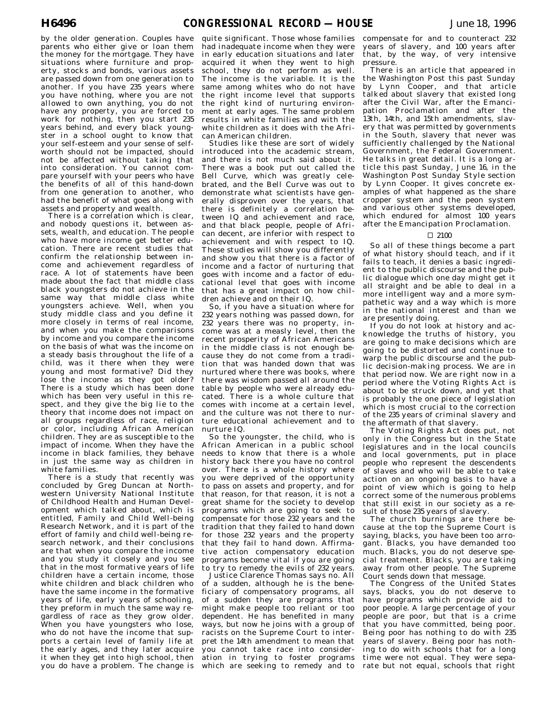by the older generation. Couples have parents who either give or loan them the money for the mortgage. They have situations where furniture and property, stocks and bonds, various assets are passed down from one generation to another. If you have 235 years where you have nothing, where you are not allowed to own anything, you do not have any property, you are forced to work for nothing, then you start 235 years behind, and every black youngster in a school ought to know that your self-esteem and your sense of selfworth should not be impacted, should not be affected without taking that into consideration. You cannot compare yourself with your peers who have the benefits of all of this hand-down from one generation to another, who had the benefit of what goes along with assets and property and wealth.

There is a correlation which is clear, and nobody questions it, between assets, wealth, and education. The people who have more income get better education. There are recent studies that confirm the relationship between income and achievement regardless of race. A lot of statements have been made about the fact that middle class black youngsters do not achieve in the same way that middle class white youngsters achieve. Well, when you study middle class and you define it more closely in terms of real income, and when you make the comparisons by income and you compare the income on the basis of what was the income on a steady basis throughout the life of a child, was it there when they were young and most formative? Did they lose the income as they got older? There is a study which has been done which has been very useful in this respect, and they give the big lie to the theory that income does not impact on all groups regardless of race, religion or color, including African American children. They are as susceptible to the impact of income. When they have the income in black families, they behave in just the same way as children in white families.

There is a study that recently was concluded by Greg Duncan at Northwestern University National Institute of Childhood Health and Human Development which talked about, which is entitled, Family and Child Well-being Research Network, and it is part of the effort of family and child well-being research network, and their conclusions are that when you compare the income and you study it closely and you see that in the most formative years of life children have a certain income, those white children and black children who have the same income in the formative years of life, early years of schooling, they preform in much the same way regardless of race as they grow older. When you have youngsters who lose, who do not have the income that supports a certain level of family life at the early ages, and they later acquire it when they get into high school, then you do have a problem. The change is

quite significant. Those whose families had inadequate income when they were in early education situations and later acquired it when they went to high school, they do not perform as well. The income is the variable. It is the same among whites who do not have the right income level that supports the right kind of nurturing environment at early ages. The same problem results in white families and with the white children as it does with the African American children.

Studies like these are sort of widely introduced into the academic stream, and there is not much said about it. There was a book put out called the Bell Curve, which was greatly celebrated, and the Bell Curve was out to demonstrate what scientists have generally disproven over the years, that there is definitely a correlation between IQ and achievement and race, and that black people, people of African decent, are inferior with respect to achievement and with respect to IQ. These studies will show you differently and show you that there is a factor of income and a factor of nurturing that goes with income and a factor of educational level that goes with income that has a great impact on how children achieve and on their IQ.

So, if you have a situation where for 232 years nothing was passed down, for 232 years there was no property, income was at a measly level, then the recent prosperity of African Americans in the middle class is not enough because they do not come from a tradition that was handed down that was nurtured where there was books, where there was wisdom passed all around the table by people who were already educated. There is a whole culture that comes with income at a certain level, and the culture was not there to nurture educational achievement and to nurture IQ.

So the youngster, the child, who is African American in a public school needs to know that there is a whole history back there you have no control over. There is a whole history where you were deprived of the opportunity to pass on assets and property, and for that reason, for that reason, it is not a great shame for the society to develop programs which are going to seek to compensate for those 232 years and the tradition that they failed to hand down for those 232 years and the property that they fail to hand down. Affirmative action compensatory education programs become vital if you are going to try to remedy the evils of 232 years.

Justice Clarence Thomas says no. All of a sudden, although he is the beneficiary of compensatory programs, all of a sudden they are programs that might make people too reliant or too dependent. He has benefited in many ways, but now he joins with a group of racists on the Supreme Court to interpret the 14th amendment to mean that you cannot take race into consideration in trying to foster programs which are seeking to remedy and to

compensate for and to counteract 232 years of slavery, and 100 years after that, by the way, of very intensive pressure.

There is an article that appeared in the Washington Post this past Sunday by Lynn Cooper, and that article talked about slavery that existed long after the Civil War, after the Emancipation Proclamation and after the 13th, 14th, and 15th amendments, slavery that was permitted by governments in the South, slavery that never was sufficiently challenged by the National Government, the Federal Government. He talks in great detail. It is a long article this past Sunday, June 16, in the Washington Post Sunday Style section by Lynn Cooper. It gives concrete examples of what happened as the share cropper system and the peon system and various other systems developed, which endured for almost 100 years after the Emancipation Proclamation.

## $\Box$  2100

So all of these things become a part of what history should teach, and if it fails to teach, it denies a basic ingredient to the public discourse and the public dialogue which one day might get it all straight and be able to deal in a more intelligent way and a more sympathetic way and a way which is more in the national interest and than we are presently doing.

If you do not look at history and acknowledge the truths of history, you are going to make decisions which are going to be distorted and continue to warp the public discourse and the public decision-making process. We are in that period now. We are right now in a period where the Voting Rights Act is about to be struck down, and yet that is probably the one piece of legislation which is most crucial to the correction of the 235 years of criminal slavery and the aftermath of that slavery.

The Voting Rights Act does put, not only in the Congress but in the State legislatures and in the local councils and local governments, put in place people who represent the descendents of slaves and who will be able to take action on an ongoing basis to have a point of view which is going to help correct some of the numerous problems that still exist in our society as a result of those 235 years of slavery.

The church burnings are there because at the top the Supreme Court is saying, blacks, you have been too arrogant. Blacks, you have demanded too much. Blacks, you do not deserve special treatment. Blacks, you are taking away from other people. The Supreme Court sends down that message.

The Congress of the United States says, blacks, you do not deserve to have programs which provide aid to poor people. A large percentage of your people are poor, but that is a crime that you have committed, being poor. Being poor has nothing to do with 235 years of slavery. Being poor has nothing to do with schools that for a long time were not equal. They were separate but not equal, schools that right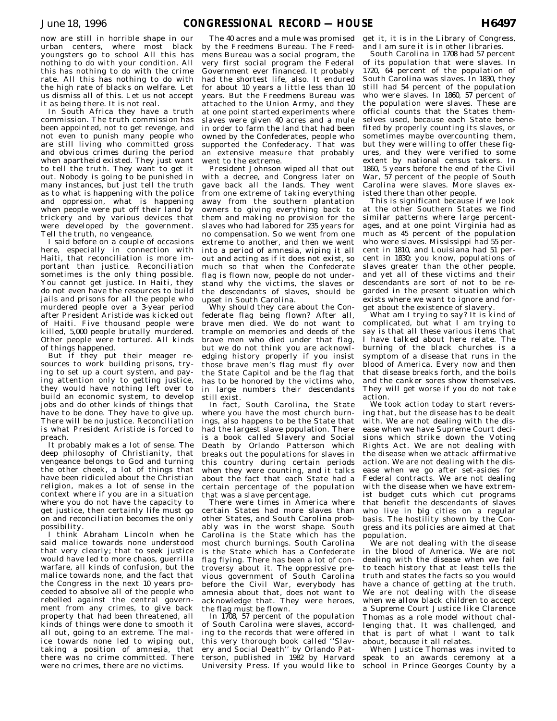now are still in horrible shape in our urban centers, where most black youngsters go to school All this has nothing to do with your condition. All this has nothing to do with the crime rate. All this has nothing to do with the high rate of blacks on welfare. Let us dismiss all of this. Let us not accept it as being there. It is not real.

In South Africa they have a truth commission. The truth commission has been appointed, not to get revenge, and not even to punish many people who are still living who committed gross and obvious crimes during the period when apartheid existed. They just want to tell the truth. They want to get it out. Nobody is going to be punished in many instances, but just tell the truth as to what is happening with the police and oppression, what is happening when people were put off their land by trickery and by various devices that were developed by the government. Tell the truth, no vengeance.

I said before on a couple of occasions here, especially in connection with Haiti, that reconciliation is more important than justice. Reconciliation sometimes is the only thing possible. You cannot get justice. In Haiti, they do not even have the resources to build jails and prisons for all the people who murdered people over a 3-year period after President Aristide was kicked out of Haiti. Five thousand people were killed, 5,000 people brutally murdered. Other people were tortured. All kinds of things happened.

But if they put their meager resources to work building prisons, trying to set up a court system, and paying attention only to getting justice, they would have nothing left over to build an economic system, to develop jobs and do other kinds of things that have to be done. They have to give up. There will be no justice. Reconciliation is what President Aristide is forced to preach.

It probably makes a lot of sense. The deep philosophy of Christianity, that vengeance belongs to God and turning the other cheek, a lot of things that have been ridiculed about the Christian religion, makes a lot of sense in the context where if you are in a situation where you do not have the capacity to get justice, then certainly life must go on and reconciliation becomes the only possibility.

I think Abraham Lincoln when he said malice towards none understood that very clearly; that to seek justice would have led to more chaos, guerrilla warfare, all kinds of confusion, but the malice towards none, and the fact that the Congress in the next 10 years proceeded to absolve all of the people who rebelled against the central government from any crimes, to give back property that had been threatened, all kinds of things were done to smooth it all out, going to an extreme. The malice towards none led to wiping out, taking a position of amnesia, that there was no crime committed. There were no crimes, there are no victims.

The 40 acres and a mule was promised by the Freedmens Bureau. The Freedmens Bureau was a social program, the very first social program the Federal Government ever financed. It probably had the shortest life, also. It endured for about 10 years a little less than 10 years. But the Freedmens Bureau was attached to the Union Army, and they at one point started experiments where slaves were given 40 acres and a mule in order to farm the land that had been owned by the Confederates, people who supported the Confederacy. That was an extensive measure that probably went to the extreme.

President Johnson wiped all that out with a decree, and Congress later on gave back all the lands. They went from one extreme of taking everything away from the southern plantation owners to giving everything back to them and making no provision for the slaves who had labored for 235 years for no compensation. So we went from one extreme to another, and then we went into a period of amnesia, wiping it all out and acting as if it does not exist, so much so that when the Confederate flag is flown now, people do not understand why the victims, the slaves or the descendants of slaves, should be upset in South Carolina.

Why should they care about the Confederate flag being flown? After all, brave men died. We do not want to trample on memories and deeds of the brave men who died under that flag, but we do not think you are acknowledging history properly if you insist those brave men's flag must fly over the State Capitol and be the flag that has to be honored by the victims who, in large numbers their descendants still exist.

In fact, South Carolina, the State where you have the most church burnings, also happens to be the State that had the largest slave population. There is a book called Slavery and Social Death by Orlando Patterson which breaks out the populations for slaves in this country during certain periods when they were counting, and it talks about the fact that each State had a certain percentage of the population that was a slave percentage.

There were times in America where certain States had more slaves than other States, and South Carolina probably was in the worst shape. South Carolina is the State which has the most church burnings. South Carolina is the State which has a Confederate flag flying. There has been a lot of controversy about it. The oppressive previous government of South Carolina before the Civil War, everybody has amnesia about that, does not want to acknowledge that. They were heroes, the flag must be flown.

In 1708, 57 percent of the population of South Carolina were slaves, according to the records that were offered in this very thorough book called ''Slavery and Social Death'' by Orlando Patterson, published in 1982 by Harvard University Press. If you would like to

get it, it is in the Library of Congress, and I am sure it is in other libraries.

South Carolina in 1708 had 57 percent of its population that were slaves. In 1720, 64 percent of the population of South Carolina was slaves. In 1830, they still had 54 percent of the population who were slaves. In 1860, 57 percent of the population were slaves. These are official counts that the States themselves used, because each State benefited by properly counting its slaves, or sometimes maybe overcounting them, but they were willing to offer these figures, and they were verified to some extent by national census takers. In 1860, 5 years before the end of the Civil War, 57 percent of the people of South Carolina were slaves. More slaves existed there than other people.

This is significant because if we look at the other Southern States we find similar patterns where large percentages, and at one point Virginia had as much as 45 percent of the population who were slaves. Mississippi had 55 percent in 1810, and Louisiana had 51 percent in 1830; you know, populations of slaves greater than the other people, and yet all of these victims and their descendants are sort of not to be regarded in the present situation which exists where we want to ignore and forget about the existence of slavery.

What am I trying to say? It is kind of complicated, but what I am trying to say is that all these various items that I have talked about here relate. The burning of the black churches is a symptom of a disease that runs in the blood of America. Every now and then that disease breaks forth, and the boils and the canker sores show themselves. They will get worse if you do not take action.

We took action today to start reversing that, but the disease has to be dealt with. We are not dealing with the disease when we have Supreme Court decisions which strike down the Voting Rights Act. We are not dealing with the disease when we attack affirmative action. We are not dealing with the disease when we go after set-asides for Federal contracts. We are not dealing with the disease when we have extremist budget cuts which cut programs that benefit the descendants of slaves who live in big cities on a regular basis. The hostility shown by the Congress and its policies are aimed at that population.

We are not dealing with the disease in the blood of America. We are not dealing with the disease when we fail to teach history that at least tells the truth and states the facts so you would have a chance of getting at the truth. We are not dealing with the disease when we allow black children to accept a Supreme Court Justice like Clarence Thomas as a role model without challenging that. It was challenged, and that is part of what I want to talk about, because it all relates.

When Justice Thomas was invited to speak to an awards ceremony at a school in Prince Georges County by a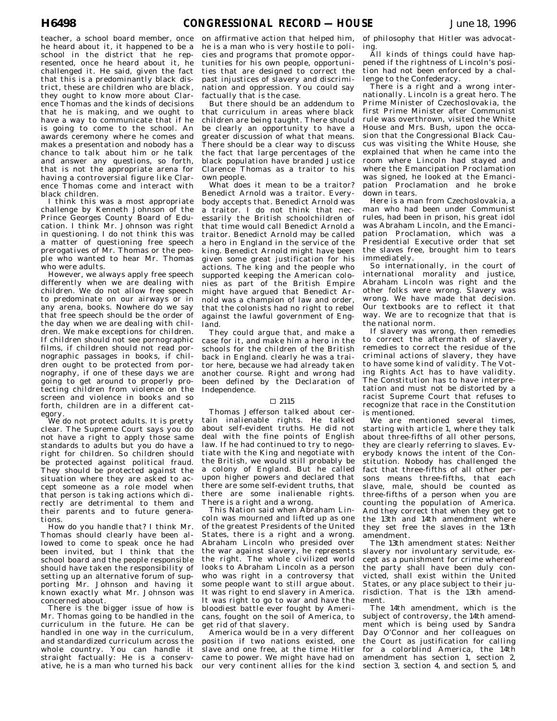teacher, a school board member, once he heard about it, it happened to be a school in the district that he represented, once he heard about it, he challenged it. He said, given the fact that this is a predominantly black district, these are children who are black, they ought to know more about Clarence Thomas and the kinds of decisions that he is making, and we ought to have a way to communicate that if he is going to come to the school. An awards ceremony where he comes and makes a presentation and nobody has a chance to talk about him or he talk and answer any questions, so forth, that is not the appropriate arena for having a controversial figure like Clarence Thomas come and interact with black children.

I think this was a most appropriate challenge by Kenneth Johnson of the Prince Georges County Board of Education. I think Mr. Johnson was right in questioning. I do not think this was a matter of questioning free speech prerogatives of Mr. Thomas or the people who wanted to hear Mr. Thomas who were adults.

However, we always apply free speech differently when we are dealing with children. We do not allow free speech to predominate on our airways or in any arena, books. Nowhere do we say that free speech should be the order of the day when we are dealing with children. We make exceptions for children. If children should not see pornographic films, if children should not read pornographic passages in books, if children ought to be protected from pornography, if one of these days we are going to get around to properly protecting children from violence on the screen and violence in books and so forth, children are in a different category.

We do not protect adults. It is pretty clear. The Supreme Court says you do not have a right to apply those same standards to adults but you do have a right for children. So children should be protected against political fraud. They should be protected against the situation where they are asked to accept someone as a role model when that person is taking actions which directly are detrimental to them and their parents and to future generations.

How do you handle that? I think Mr. Thomas should clearly have been allowed to come to speak once he had been invited, but I think that the school board and the people responsible should have taken the responsibility of setting up an alternative forum of supporting Mr. Johnson and having it known exactly what Mr. Johnson was concerned about.

There is the bigger issue of how is Mr. Thomas going to be handled in the curriculum in the future. He can be handled in one way in the curriculum, and standardized curriculum across the whole country. You can handle it straight factually: He is a conservative, he is a man who turned his back

on affirmative action that helped him, he is a man who is very hostile to policies and programs that promote opportunities for his own people, opportunities that are designed to correct the past injustices of slavery and discrimination and oppression. You could say factually that is the case.

But there should be an addendum to that curriculum in areas where black children are being taught. There should be clearly an opportunity to have a greater discussion of what that means. There should be a clear way to discuss the fact that large percentages of the black population have branded Justice Clarence Thomas as a traitor to his own people.

What does it mean to be a traitor? Benedict Arnold was a traitor. Everybody accepts that. Benedict Arnold was a traitor. I do not think that necessarily the British schoolchildren of that time would call Benedict Arnold a traitor. Benedict Arnold may be called a hero in England in the service of the king. Benedict Arnold might have been given some great justification for his actions. The king and the people who supported keeping the American colonies as part of the British Empire might have argued that Benedict Arnold was a champion of law and order, that the colonists had no right to rebel against the lawful government of England.

They could argue that, and make a case for it, and make him a hero in the schools for the children of the British back in England. clearly he was a traitor here, because we had already taken another course. Right and wrong had been defined by the Declaration of Independence.

#### $\square$  2115

Thomas Jefferson talked about certain inalienable rights. He talked about self-evident truths. He did not deal with the fine points of English law. If he had continued to try to negotiate with the King and negotiate with the British, we would still probably be a colony of England. But he called upon higher powers and declared that there are some self-evident truths, that there are some inalienable rights. There is a right and a wrong.

This Nation said when Abraham Lincoln was mourned and lifted up as one of the greatest Presidents of the United States, there is a right and a wrong. Abraham Lincoln who presided over the war against slavery, he represents the right. The whole civilized world looks to Abraham Lincoln as a person who was right in a controversy that some people want to still argue about. It was right to end slavery in America. It was right to go to war and have the bloodiest battle ever fought by Americans, fought on the soil of America, to get rid of that slavery.

America would be in a very different position if two nations existed, one slave and one free, at the time Hitler came to power. We might have had on our very continent allies for the kind

of philosophy that Hitler was advocating.

All kinds of things could have happened if the rightness of Lincoln's position had not been enforced by a challenge to the Confederacy.

There is a right and a wrong internationally. Lincoln is a great hero. The Prime Minister of Czechoslovakia, the first Prime Minister after Communist rule was overthrown, visited the White House and Mrs. Bush, upon the occasion that the Congressional Black Caucus was visiting the White House, she explained that when he came into the room where Lincoln had stayed and where the Emancipation Proclamation was signed, he looked at the Emancipation Proclamation and he broke down in tears.

Here is a man from Czechoslovakia, a man who had been under Communist rules, had been in prison, his great idol was Abraham Lincoln, and the Emancipation Proclamation, which was a Presidential Executive order that set the slaves free, brought him to tears immediately.

So internationally, in the court of international morality and justice, Abraham Lincoln was right and the other folks were wrong. Slavery was wrong. We have made that decision. Our textbooks are to reflect it that way. We are to recognize that that is the national norm.

If slavery was wrong, then remedies to correct the aftermath of slavery, remedies to correct the residue of the criminal actions of slavery, they have to have some kind of validity. The Voting Rights Act has to have validity. The Constitution has to have interpretation and must not be distorted by a racist Supreme Court that refuses to recognize that race in the Constitution is mentioned.

We are mentioned several times, starting with article 1, where they talk about three-fifths of all other persons, they are clearly referring to slaves. Everybody knows the intent of the Constitution. Nobody has challenged the fact that three-fifths of all other persons means three-fifths, that each slave, male, should be counted as three-fifths of a person when you are counting the population of America. And they correct that when they get to the 13th and 14th amendment where they set free the slaves in the 13th amendment.

The 13th amendment states: Neither slavery nor involuntary servitude, except as a punishment for crime whereof the party shall have been duly convicted, shall exist within the United States, or any place subject to their jurisdiction. That is the 13th amendment.

The 14th amendment, which is the subject of controversy, the 14th amendment which is being used by Sandra Day O'Connor and her colleagues on the Court as justification for calling for a colorblind America, the 14th amendment has section 1, section 2, section 3, section 4, and section 5, and